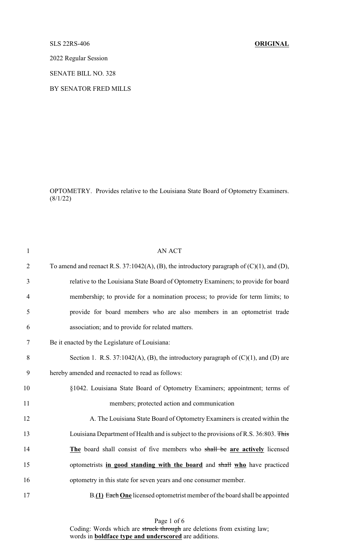## SLS 22RS-406 **ORIGINAL**

2022 Regular Session

SENATE BILL NO. 328

BY SENATOR FRED MILLS

OPTOMETRY. Provides relative to the Louisiana State Board of Optometry Examiners.  $(8/1/22)$ 

| $\mathbf{1}$   | <b>AN ACT</b>                                                                                   |
|----------------|-------------------------------------------------------------------------------------------------|
| $\overline{2}$ | To amend and reenact R.S. 37:1042(A), (B), the introductory paragraph of $(C)(1)$ , and $(D)$ , |
| 3              | relative to the Louisiana State Board of Optometry Examiners; to provide for board              |
| $\overline{4}$ | membership; to provide for a nomination process; to provide for term limits; to                 |
| 5              | provide for board members who are also members in an optometrist trade                          |
| 6              | association; and to provide for related matters.                                                |
| 7              | Be it enacted by the Legislature of Louisiana:                                                  |
| 8              | Section 1. R.S. 37:1042(A), (B), the introductory paragraph of $(C)(1)$ , and $(D)$ are         |
| 9              | hereby amended and reenacted to read as follows:                                                |
| 10             | §1042. Louisiana State Board of Optometry Examiners; appointment; terms of                      |
| 11             | members; protected action and communication                                                     |
| 12             | A. The Louisiana State Board of Optometry Examiners is created within the                       |
| 13             | Louisiana Department of Health and is subject to the provisions of R.S. 36:803. This            |
| 14             | The board shall consist of five members who shall be are actively licensed                      |
| 15             | optometrists in good standing with the board and shall who have practiced                       |
| 16             | optometry in this state for seven years and one consumer member.                                |
| 17             | B.(1) Each One licensed optometrist member of the board shall be appointed                      |

Page 1 of 6 Coding: Words which are struck through are deletions from existing law; words in **boldface type and underscored** are additions.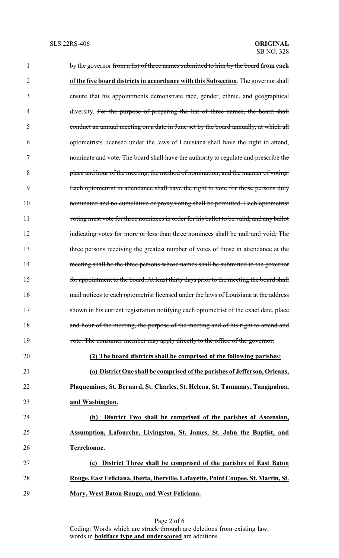| 1  | by the governor from a list of three names submitted to him by the board from each      |
|----|-----------------------------------------------------------------------------------------|
| 2  | of the five board districts in accordance with this Subsection. The governor shall      |
| 3  | ensure that his appointments demonstrate race, gender, ethnic, and geographical         |
| 4  | diversity. For the purpose of preparing the list of three names, the board shall        |
| 5  | conduct an annual meeting on a date in June set by the board annually, at which all     |
| 6  | optometrists licensed under the laws of Louisiana shall have the right to attend,       |
| 7  | nominate and vote. The board shall have the authority to regulate and prescribe the     |
| 8  | place and hour of the meeting, the method of nomination, and the manner of voting.      |
| 9  | Each optometrist in attendance shall have the right to vote for those persons duly      |
| 10 | nominated and no cumulative or proxy voting shall be permitted. Each optometrist        |
| 11 | voting must vote for three nominees in order for his ballot to be valid, and any ballot |
| 12 | indicating votes for more or less than three nominees shall be null and void. The       |
| 13 | three persons receiving the greatest number of votes of those in attendance at the      |
| 14 | meeting shall be the three persons whose names shall be submitted to the governor       |
| 15 | for appointment to the board. At least thirty days prior to the meeting the board shall |
| 16 | mail notices to each optometrist licensed under the laws of Louisiana at the address    |
| 17 | shown in his current registration notifying each optometrist of the exact date, place   |
| 18 | and hour of the meeting, the purpose of the meeting and of his right to attend and      |
| 19 | vote. The consumer member may apply directly to the office of the governor.             |
| 20 | (2) The board districts shall be comprised of the following parishes:                   |
| 21 | (a) District One shall be comprised of the parishes of Jefferson, Orleans,              |
| 22 | Plaquemines, St. Bernard, St. Charles, St. Helena, St. Tammany, Tangipahoa,             |
| 23 | and Washington.                                                                         |
| 24 | District Two shall be comprised of the parishes of Ascension,<br>(b)                    |
| 25 | Assumption, Lafourche, Livingston, St. James, St. John the Baptist, and                 |
| 26 | Terrebonne.                                                                             |
| 27 | District Three shall be comprised of the parishes of East Baton<br>(c)                  |
| 28 | Rouge, East Feliciana, Iberia, Iberville, Lafayette, Point Coupee, St. Martin, St.      |
| 29 | Mary, West Baton Rouge, and West Feliciana.                                             |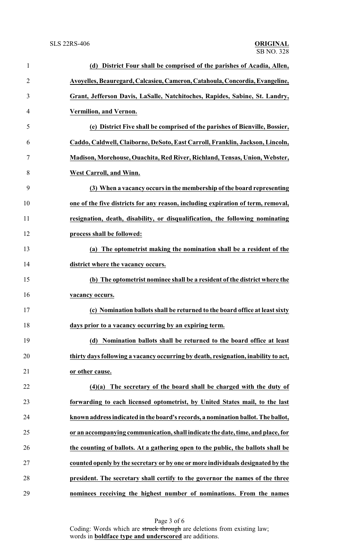| $\mathbf{1}$   | (d) District Four shall be comprised of the parishes of Acadia, Allen,             |
|----------------|------------------------------------------------------------------------------------|
| $\overline{2}$ | Avoyelles, Beauregard, Calcasieu, Cameron, Catahoula, Concordia, Evangeline,       |
| 3              | Grant, Jefferson Davis, LaSalle, Natchitoches, Rapides, Sabine, St. Landry,        |
| $\overline{4}$ | Vermilion, and Vernon.                                                             |
| 5              | (e) District Five shall be comprised of the parishes of Bienville, Bossier,        |
| 6              | Caddo, Caldwell, Claiborne, DeSoto, East Carroll, Franklin, Jackson, Lincoln,      |
| 7              | Madison, Morehouse, Ouachita, Red River, Richland, Tensas, Union, Webster,         |
| 8              | <b>West Carroll, and Winn.</b>                                                     |
| 9              | (3) When a vacancy occurs in the membership of the board representing              |
| 10             | one of the five districts for any reason, including expiration of term, removal,   |
| 11             | resignation, death, disability, or disqualification, the following nominating      |
| 12             | process shall be followed:                                                         |
| 13             | (a) The optometrist making the nomination shall be a resident of the               |
| 14             | district where the vacancy occurs.                                                 |
| 15             | (b) The optometrist nominee shall be a resident of the district where the          |
| 16             | vacancy occurs.                                                                    |
| 17             | (c) Nomination ballots shall be returned to the board office at least sixty        |
| 18             | days prior to a vacancy occurring by an expiring term.                             |
| 19             | (d) Nomination ballots shall be returned to the board office at least              |
| 20             | thirty days following a vacancy occurring by death, resignation, inability to act, |
| 21             | or other cause.                                                                    |
| 22             | The secretary of the board shall be charged with the duty of<br>(4)(a)             |
| 23             | forwarding to each licensed optometrist, by United States mail, to the last        |
| 24             | known address indicated in the board's records, a nomination ballot. The ballot,   |
| 25             | or an accompanying communication, shall indicate the date, time, and place, for    |
| 26             | the counting of ballots. At a gathering open to the public, the ballots shall be   |
| 27             | counted openly by the secretary or by one or more individuals designated by the    |
| 28             | president. The secretary shall certify to the governor the names of the three      |
| 29             | nominees receiving the highest number of nominations. From the names               |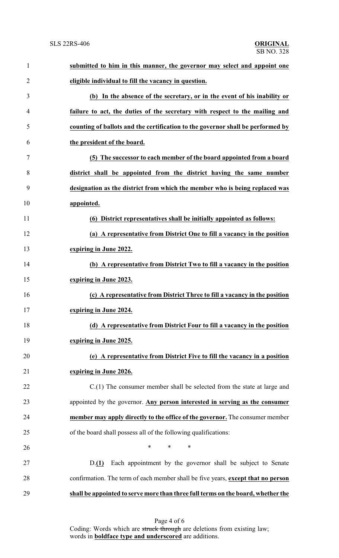| $\mathbf{1}$   | submitted to him in this manner, the governor may select and appoint one         |
|----------------|----------------------------------------------------------------------------------|
| $\overline{2}$ | eligible individual to fill the vacancy in question.                             |
| 3              | (b) In the absence of the secretary, or in the event of his inability or         |
| 4              | failure to act, the duties of the secretary with respect to the mailing and      |
| 5              | counting of ballots and the certification to the governor shall be performed by  |
| 6              | the president of the board.                                                      |
| 7              | (5) The successor to each member of the board appointed from a board             |
| 8              | district shall be appointed from the district having the same number             |
| 9              | designation as the district from which the member who is being replaced was      |
| 10             | appointed.                                                                       |
| 11             | (6) District representatives shall be initially appointed as follows:            |
| 12             | (a) A representative from District One to fill a vacancy in the position         |
| 13             | expiring in June 2022.                                                           |
| 14             | (b) A representative from District Two to fill a vacancy in the position         |
| 15             | expiring in June 2023.                                                           |
| 16             | (c) A representative from District Three to fill a vacancy in the position       |
| 17             | expiring in June 2024.                                                           |
| 18             | (d) A representative from District Four to fill a vacancy in the position        |
| 19             | expiring in June 2025.                                                           |
| 20             | (e) A representative from District Five to fill the vacancy in a position        |
| 21             | expiring in June 2026.                                                           |
| 22             | $C(1)$ The consumer member shall be selected from the state at large and         |
| 23             | appointed by the governor. Any person interested in serving as the consumer      |
| 24             | member may apply directly to the office of the governor. The consumer member     |
| 25             | of the board shall possess all of the following qualifications:                  |
| 26             | $\ast$<br>*<br>∗                                                                 |
| 27             | Each appointment by the governor shall be subject to Senate<br>D(1)              |
| 28             | confirmation. The term of each member shall be five years, except that no person |
| 29             | shall be appointed to serve more than three full terms on the board, whether the |

Page 4 of 6 Coding: Words which are struck through are deletions from existing law; words in **boldface type and underscored** are additions.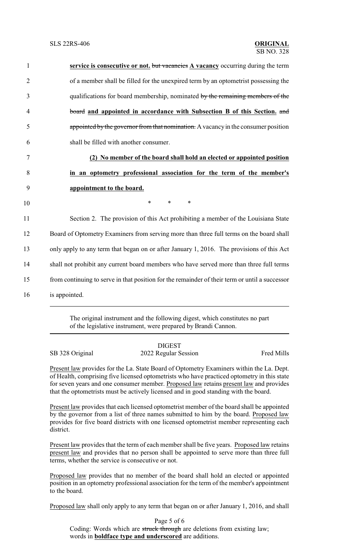| $\mathbf{1}$   | service is consecutive or not. but vacancies A vacancy occurring during the term               |
|----------------|------------------------------------------------------------------------------------------------|
| $\overline{2}$ | of a member shall be filled for the unexpired term by an optometrist possessing the            |
| 3              | qualifications for board membership, nominated by the remaining members of the                 |
| $\overline{4}$ | board and appointed in accordance with Subsection B of this Section. and                       |
| 5              | appointed by the governor from that nomination. A vacancy in the consumer position             |
| 6              | shall be filled with another consumer.                                                         |
| 7              | (2) No member of the board shall hold an elected or appointed position                         |
| 8              | in an optometry professional association for the term of the member's                          |
| 9              | appointment to the board.                                                                      |
| 10             | $\ast$<br>$\ast$<br>∗                                                                          |
| 11             | Section 2. The provision of this Act prohibiting a member of the Louisiana State               |
| 12             | Board of Optometry Examiners from serving more than three full terms on the board shall        |
| 13             | only apply to any term that began on or after January 1, 2016. The provisions of this Act      |
| 14             | shall not prohibit any current board members who have served more than three full terms        |
| 15             | from continuing to serve in that position for the remainder of their term or until a successor |
|                |                                                                                                |

16 is appointed.

The original instrument and the following digest, which constitutes no part of the legislative instrument, were prepared by Brandi Cannon.

SB 328 Original 2022 Regular Session Fred Mills

DIGEST

Present law provides for the La. State Board of Optometry Examiners within the La. Dept. of Health, comprising five licensed optometrists who have practiced optometry in this state for seven years and one consumer member. Proposed law retains present law and provides that the optometrists must be actively licensed and in good standing with the board.

Present law provides that each licensed optometrist member of the board shall be appointed by the governor from a list of three names submitted to him by the board. Proposed law provides for five board districts with one licensed optometrist member representing each district.

Present law provides that the term of each member shall be five years. Proposed law retains present law and provides that no person shall be appointed to serve more than three full terms, whether the service is consecutive or not.

Proposed law provides that no member of the board shall hold an elected or appointed position in an optometry professional association for the term of the member's appointment to the board.

Proposed law shall only apply to any term that began on or after January 1, 2016, and shall

Page 5 of 6 Coding: Words which are struck through are deletions from existing law; words in **boldface type and underscored** are additions.